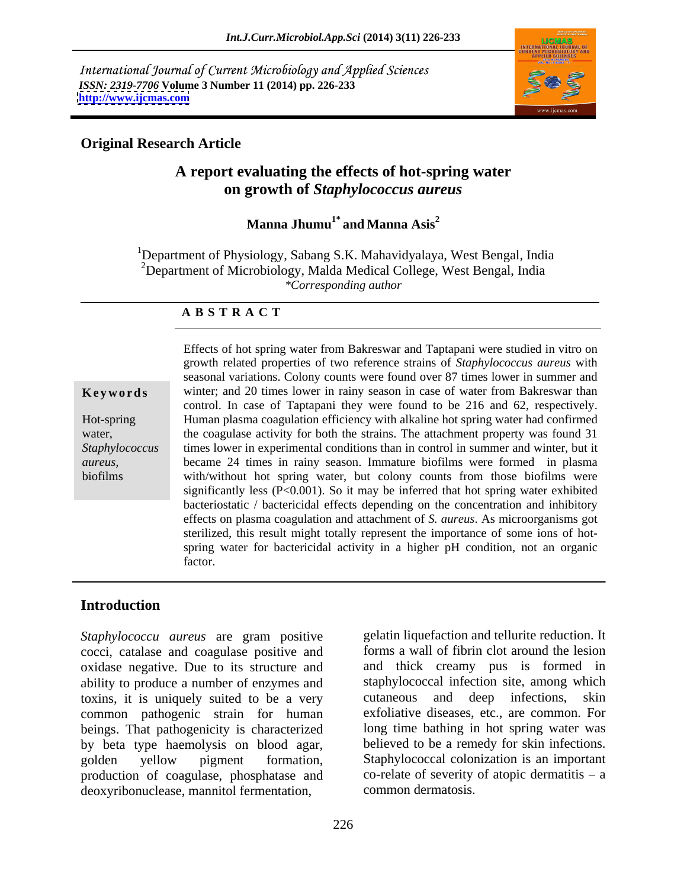International Journal of Current Microbiology and Applied Sciences *ISSN: 2319-7706* **Volume 3 Number 11 (2014) pp. 226-233 <http://www.ijcmas.com>**



# **Original Research Article**

# **A report evaluating the effects of hot-spring water on growth of** *Staphylococcus aureus*

# $\mathbf M$ anna Jhumu<sup>1\*</sup> and Manna Asis $^2$ **and Manna Asis<sup>2</sup>**

<sup>1</sup>Department of Physiology, Sabang S.K. Mahavidyalaya, West Bengal, India <sup>2</sup>Department of Microbiology, Malda Medical College, West Bengal, India *\*Corresponding author*

### **A B S T R A C T**

**Keywords** winter; and 20 times lower in rainy season in case of water from Bakreswar than Hot-spring Human plasma coagulation efficiency with alkaline hot spring water had confirmed water, the coagulase activity for both the strains. The attachment property was found 31 *Staphylococcus*  times lower in experimental conditions than in control in summer and winter, but it *aureus*, became 24 times in rainy season. Immature biofilms were formed in plasma biofilms with/without hot spring water, but colony counts from those biofilms were Effects of hot spring water from Bakreswar and Taptapani were studied in vitro on growth related properties of two reference strains of *Staphylococcus aureus* with seasonal variations. Colony counts were found over 87 times lower in summer and control. In case of Taptapani they were found to be 216 and 62, respectively. significantly less  $(P<0.001)$ . So it may be inferred that hot spring water exhibited bacteriostatic / bactericidal effects depending on the concentration and inhibitory effects on plasma coagulation and attachment of *S. aureus*. As microorganisms got sterilized, this result might totally represent the importance of some ions of hot spring water for bactericidal activity in a higher pH condition, not an organic factor.

# **Introduction**

*Staphylococcu aureus* are gram positive cocci, catalase and coagulase positive and oxidase negative. Due to its structure and ability to produce a number of enzymes and toxins, it is uniquely suited to be a very cutaneous and deep infections, skin common pathogenic strain for human beings. That pathogenicity is characterized by beta type haemolysis on blood agar, golden yellow pigment formation, Staphylococcal colonization is an important production of coagulase, phosphatase and deoxyribonuclease, mannitol fermentation,

gelatin liquefaction and tellurite reduction. It forms a wall of fibrin clot around the lesion and thick creamy pus is formed in staphylococcal infection site, among which cutaneous and deep infections, exfoliative diseases, etc., are common. For long time bathing in hot spring water was believed to be a remedy for skin infections. co-relate of severity of atopic dermatitis  $-$  a common dermatosis.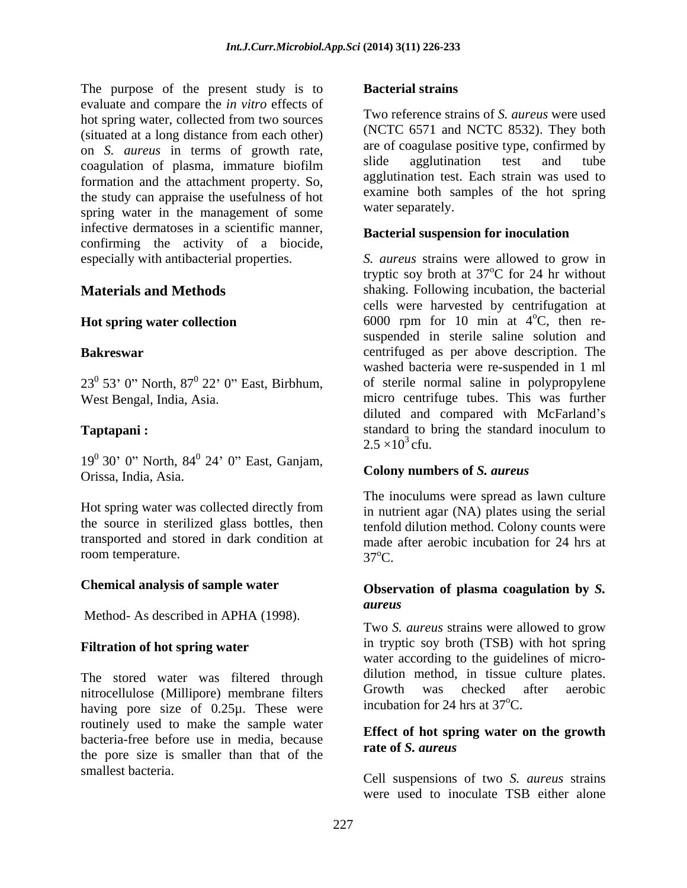The purpose of the present study is to **Bacterial strains** evaluate and compare the *in vitro* effects of hot spring water, collected from two sources (situated at a long distance from each other) on *S. aureus* in terms of growth rate, are of coagulase positive type, continued by coagulation of plasma immature biofilm slide agglutination test and tube coagulation of plasma, immature biofilm formation and the attachment property. So, the study can appraise the usefulness of hot spring water in the management of some infective dermatoses in a scientific manner, confirming the activity of a biocide,

 $19^0$  30' 0" North,  $84^0$  24' 0" East, Ganjam,  $24'$  0" East, Ganjam, Orissa, India, Asia.

Hot spring water was collected directly from transported and stored in dark condition at room temperature. 37<sup>o</sup>C.

# **Chemical analysis of sample water**

Method- As described in APHA (1998).

# **Filtration of hot spring water**

The stored water was filtered through dilution method, in tissue culture plates.<br>
nitrocellulose (Millipore) membrane filters Growth was checked after aerobic nitrocellulose (Millipore) membrane filters having pore size of 0.25µ. These were routinely used to make the sample water bacteria-free before use in media, because<br>rate of S. aureus the pore size is smaller than that of the

### **Bacterial strains**

Two reference strains of *S. aureus* were used (NCTC 6571 and NCTC 8532). They both are of coagulase positive type, confirmed by slide agglutination test and tube agglutination test. Each strain was used to examine both samples of the hot spring water separately.

### **Bacterial suspension for inoculation**

especially with antibacterial properties. *S. aureus* strains were allowed to grow in **Materials and Methods** Shaking. Following incubation, the bacterial **Hot spring water collection** 6000 rpm for 10 min at 4<sup>o</sup>C, then re- **Bakreswar**  centrifuged as per above description. The  $23^0$  53' 0" North,  $87^0$  22' 0" East, Birbhum, of sterile normal saline in polypropylene West Bengal, India, Asia. micro centrifuge tubes. This was further **Taptapani :**<br> **C** tandard to bring the standard inoculum to<br>  $2.5 \times 10^3$  cfu. tryptic soy broth at  $37^{\circ}$ C for 24 hr without oC for 24 hr without cells were harvested by centrifugation at  $\mathrm{^{0}C}$ , then resuspended in sterile saline solution and washed bacteria were re-suspended in 1 ml diluted and compared with McFarland's standard to bring the standard inoculum to  $2.5 \times 10^3$  cfu.

### **Colony numbers of** *S. aureus*

the source in sterilized glass bottles, then tenfold dilution method. Colony counts were The inoculums were spread as lawn culture in nutrient agar (NA) plates using the serial made after aerobic incubation for 24 hrs at  $37^{\circ}$ C.

### **Observation of plasma coagulation by** *S. aureus*

Two *S. aureus* strains were allowed to grow in tryptic soy broth (TSB) with hot spring water according to the guidelines of micro dilution method, in tissue culture plates. Growth was checked after aerobic incubation for 24 hrs at  $37^{\circ}$ C.

### **Effect of hot spring water on the growth rate of** *S. aureus*

smallest bacteria. Cell suspensions of two *S. aureus* strains were used to inoculate TSB either alone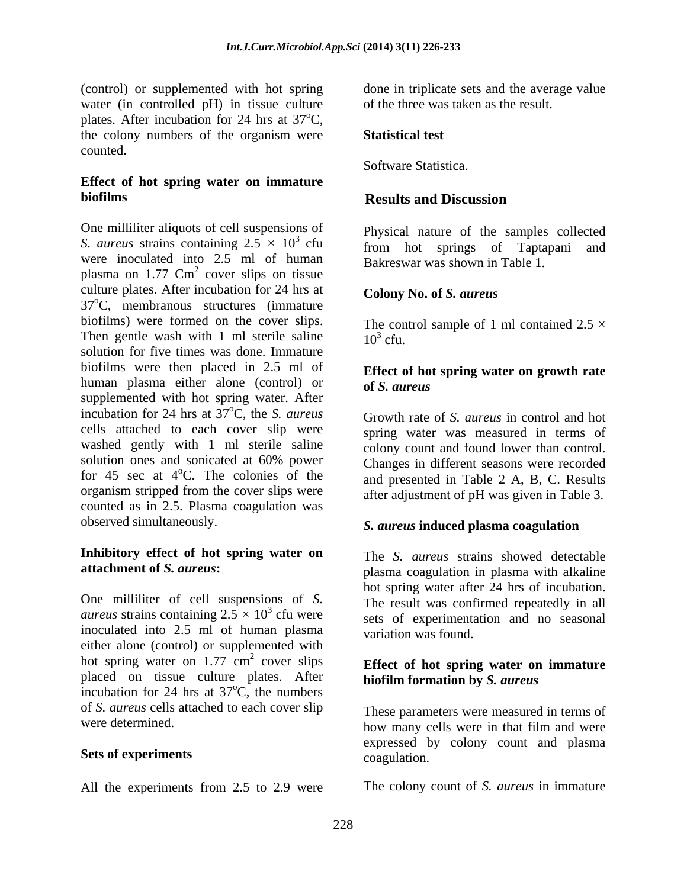(control) or supplemented with hot spring done in triplicate setsand the average value water (in controlled pH) in tissue culture plates. After incubation for 24 hrs at  $37^{\circ}$ C,  $\mathrm{^{\circ}C},$ the colony numbers of the organism were **Statistical test** counted.

# **Effect of hot spring water on immature biofilms biofilms biofilms biofilms biofilms biofilms biofilms biofilms biofilms biofilms biofilms biofilms biofilms biofilms biofilms biofilms biofilms biofilms biofilms biofilms b**

One milliliter aliquots of cell suspensions of *S. aureus* strains containing  $2.5 \times 10^3$  cfu were inoculated into 2.5 ml of human plasma on  $1.77 \text{ cm}^2$  cover slips on tissue cover slips on tissue culture plates. After incubation for 24 hrs at  $37^{\circ}$ C, membranous structures (immature biofilms) were formed on the cover slips. Then gentle wash with 1 ml sterile saline  $10^3$  cfu. solution for five times was done. Immature biofilms were then placed in 2.5 ml of human plasma either alone (control) or **of S**, *aureus* supplemented with hot spring water. After incubation for 24 hrs at  $37^{\circ}$ C, the *S. aureus* cells attached to each cover slip were spring water was measured in terms of washed gently with 1 ml sterile saline solution ones and sonicated at 60% power Changes in different seasons were recorded for  $45$  sec at  $4^{\circ}$ C. The colonies of the organism stripped from the cover slips were counted as in 2.5. Plasma coagulation was observed simultaneously. *S. aureus* **induced plasma coagulation**

# **Inhibitory effect of hot spring water on**

One milliliter of cell suspensions of *S. aureus* strains containing  $2.5 \times 10^3$  cfu were sets of experimentation and no seasonal inoculated into 2.5 ml of human plasma either alone (control) or supplemented with hot spring water on  $1.77 \text{ cm}^2$  cover slips placed on tissue culture plates. After incubation for 24 hrs at  $37^{\circ}$ C, the numbers  $\overrightarrow{C}$ , the numbers  $\overrightarrow{C}$ of *S. aureus* cells attached to each cover slip

# **Sets of experiments** coagulation.

All the experiments from 2.5 to 2.9 were

of the three was taken as the result.

# **Statistical test**

Software Statistica.

# **Results and Discussion**

 $\frac{3}{2}$   $\sigma$   $\frac{1}{2}$   $\sigma$   $\frac{1}{2}$   $\sigma$   $\frac{1}{2}$   $\sigma$   $\frac{1}{2}$   $\sigma$   $\frac{1}{2}$   $\sigma$   $\frac{1}{2}$   $\sigma$   $\frac{1}{2}$   $\sigma$   $\frac{1}{2}$   $\sigma$   $\frac{1}{2}$   $\sigma$   $\frac{1}{2}$   $\sigma$   $\frac{1}{2}$   $\sigma$   $\frac{1}{2}$   $\sigma$   $\frac{1}{2}$   $\sigma$   $\frac{1}{2}$  cfu from hot springs of Taptapani and Physical nature of the samples collected Bakreswar was shown in Table 1.

### **Colony No. of** *S. aureus*

The control sample of 1 ml contained  $2.5 \times$  $10<sup>3</sup>$  cfu. cfu.

# **Effect of hot spring water on growth rate of** *S. aureus*

oC, the *S. aureus* Growth rate of *S. aureus* in control and hot oC. The colonies of the and presented in Table 2 A, B, C. Results colony count and found lower than control. after adjustment of pH was given in Table 3.

**attachment of** *S. aureus*: plasma coagulation in plasma with alkaline The *S. aureus* strains showed detectable hot spring water after 24 hrs of incubation. The result was confirmed repeatedly in all variation was found.

### $\frac{2}{2}$  equation  $\frac{1}{2}$  equation  $\frac{1}{2}$  equation  $\frac{1}{2}$  equation  $\frac{1}{2}$ cover slips **Effect of hot spring water on immature biofilm formation by** *S. aureus*

were determined.  $h$  how many cells were in that film and were These parameters were measured in terms of expressed by colony count and plasma coagulation.

The colony count of *S. aureus* in immature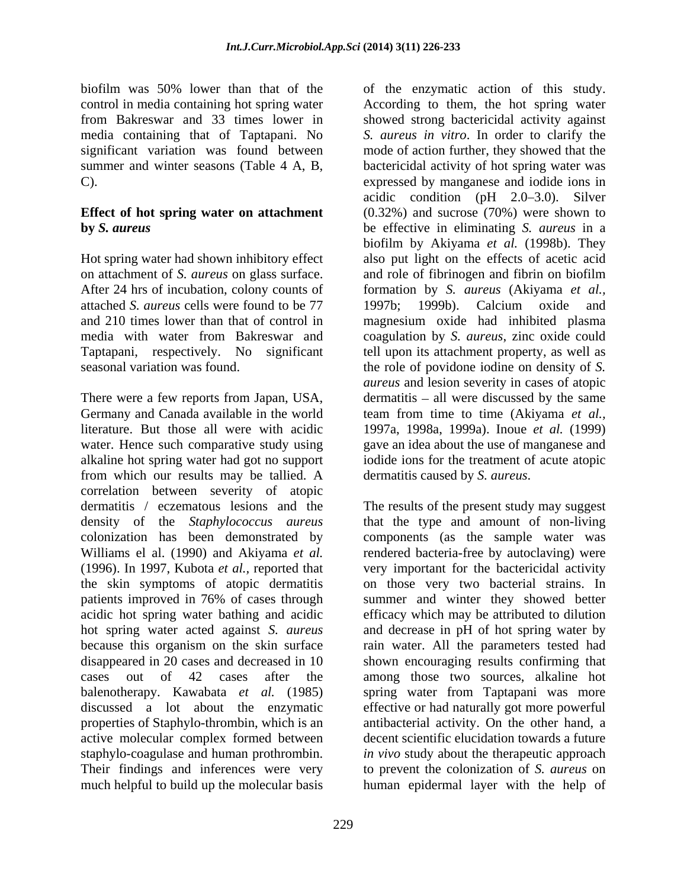on attachment of *S. aureus* on glass surface. attached *S. aureus* cells were found to be 77

There were a few reports from Japan, USA, dermatitis – all were discussed by the same Germany and Canada available in the world literature. But those all were with acidic 1997a, 1998a, 1999a). Inoue *et al.* (1999) water. Hence such comparative study using gave an idea about the use of manganese and alkaline hot spring water had got no support from which our results may be tallied. A dermatitis caused by S. *aureus*. correlation between severity of atopic dermatitis / eczematous lesions and the The results of the present study may suggest density of the *Staphylococcus aureus* properties of Staphylo-thrombin, which is an active molecular complex formed between

biofilm was 50% lower than that of the of the enzymatic action of this study. control in media containing hot spring water According to them, the hot spring water from Bakreswar and 33 times lower in showed strong bactericidal activity against media containing that of Taptapani. No *S. aureus in vitro*. In order to clarify the significant variation was found between mode of action further, they showed that the summer and winter seasons (Table 4 A, B, bactericidal activity of hot spring water was C). Expressed by manganese and iodide ions in **Effect of hot spring water on attachment** (0.32%) and sucrose (70%) were shown to **by** *S. aureus* be effective in eliminating *S. aureus* in a Hot spring water had shown inhibitory effect also put light on the effects of acetic acid After 24 hrs of incubation, colony counts of formation by *S. aureus* (Akiyama *et al.,* and 210 times lower than that of control in magnesium oxide had inhibited plasma media with water from Bakreswar and coagulation by *S. aureus*, zinc oxide could Taptapani, respectively. No significant tell upon its attachment property, as well as seasonal variation was found. the role of povidone iodine on density of *S.*  acidic condition  $(pH \t 2.0-3.0)$ . Silver biofilm by Akiyama *et al.* (1998b). They and role of fibrinogen and fibrin on biofilm 1997b; 1999b). Calcium oxide and *aureus* and lesion severity in cases of atopic team from time to time (Akiyama *et al.,* iodide ions for the treatment of acute atopic

colonization has been demonstrated by components (as the sample water was Williams el al. (1990) and Akiyama *et al*. rendered bacteria-free by autoclaving) were (1996). In 1997, Kubota *et al.,* reported that very important forthe bactericidal activity the skin symptoms of atopic dermatitis on those very two bacterial strains. In patients improved in 76% of cases through summer and winter they showed better acidic hot spring water bathing and acidic efficacy which may be attributed to dilution hot spring water acted against *S. aureus* and decrease in pH of hot spring water by because this organism on the skin surface rain water. All the parameters tested had disappeared in 20 cases and decreased in 10 shown encouraging results confirming that cases out of 42 cases after the among those two sources, alkaline hot balenotherapy. Kawabata *et al.* (1985) spring water from Taptapani was more discussed a lot about the enzymatic effective or had naturally got more powerful staphylo-coagulase and human prothrombin. *in vivo* study about the therapeutic approach Their findings and inferences were very to prevent the colonization of *S. aureus* on much helpful to build up the molecular basis human epidermal layer with the help ofdermatitis caused by *S. aureus*. The results of the present study may suggest that the type and amount of non-living antibacterial activity. On the other hand, a decent scientific elucidation towards a future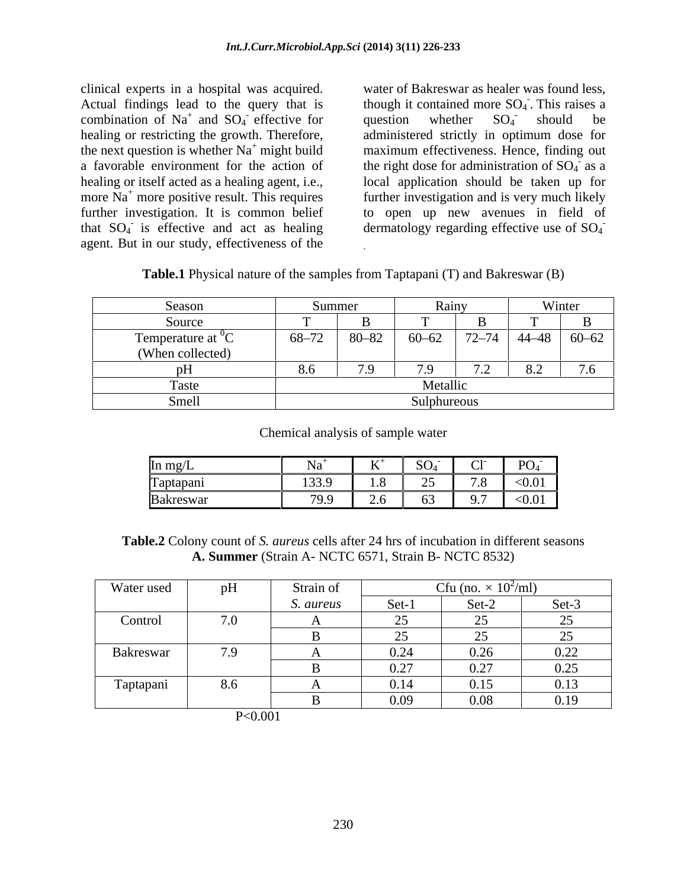clinical experts in a hospital was acquired. water of Bakreswar as healer was found less, Actual findings lead to the query that is combination of Na<sup>+</sup> and SO<sub>4</sub> effective for question whether  $SO_4$  should be healing or restricting the growth. Therefore, administered strictly in optimum dose for the next question is whether  $Na<sup>+</sup>$  might build maximum effectiveness. Hence, finding out a favorable environment for the action of the right dose for administration of  $SO_4$  as a healing or itself acted as a healing agent, i.e., local application should be taken up for more  $Na<sup>+</sup>$  more positive result. This requires further investigation. It is common belief to open up new avenues in field of that  $SO_4$  is effective and act as healing dermatology regarding effective use of  $SO_4$ agent. But in our study, effectiveness of the

and  $SO_4$  effective for question whether  $SO_4$  should be effective for question whether  $SO_4$  should be though it contained more  $SO<sub>4</sub>$ . This raises a This roises a . This raises a question whether  $SO_4$  should be should be  $\frac{1}{2}$  as a further investigation and is very much likely **-** Construction of the construction

| Table.1 | <b>1</b> Physical nature of the samples from $1a_k$ | (B) and Bakreswar (B)<br>$\sqrt{2}$<br>Taptapanı ( |  |
|---------|-----------------------------------------------------|----------------------------------------------------|--|
|         |                                                     |                                                    |  |

.

| Season                                       | Summer                                                                                                         |         | <b>Rain</b> |                |     | Winter |
|----------------------------------------------|----------------------------------------------------------------------------------------------------------------|---------|-------------|----------------|-----|--------|
| pource                                       |                                                                                                                |         |             |                |     |        |
|                                              | $\begin{array}{ c c c c c c c c c } \hline 68-72 & 80-82 & 60-62 & 72-74 & 44-48 & 60-62 \ \hline \end{array}$ |         |             |                |     |        |
| Temperature at ${}^{0}C$<br>(When collected) |                                                                                                                |         |             |                |     |        |
|                                              |                                                                                                                | $\cdot$ | 70          | $\overline{z}$ | 8.2 | 7.6    |
| i asu                                        |                                                                                                                |         | Metallic    |                |     |        |
|                                              |                                                                                                                |         | Sulphureous |                |     |        |

### Chemical analysis of sample water

| In mg/L          | $\mathbf{r}$ + | $\tau$ $\tau$ +<br>$\mathbf{A}$ | $SO_4^-$                                  | ້                                           | PO <sub>4</sub> |
|------------------|----------------|---------------------------------|-------------------------------------------|---------------------------------------------|-----------------|
| Taptapani        | 133.<br>       | $\cdot\cdot$                    | $\sim$ $\sim$<br>$\overline{\phantom{a}}$ | $\sqrt{2}$ $\sqrt{2}$<br>$\overline{1}$ . O | < 0.01          |
| <b>Bakreswar</b> | 799 Q<br>,,,,  | $- \cdot -$                     | $\sim$ $\sim$<br>ັບປ                      | $\overline{\phantom{a}}$<br><i>__</i> .,    | < 0.01          |

**Table.2** Colony count of *S. aureus* cells after 24 hrs of incubation in different seasons **A. Summer** (Strain A- NCTC 6571, Strain B- NCTC 8532)

| Water used | pH  | Strain of |                                           | Cfu (no. $\times$ 10 <sup>2</sup> /ml) |                                           |
|------------|-----|-----------|-------------------------------------------|----------------------------------------|-------------------------------------------|
|            |     | S. aureus | Set-1                                     | Set-2                                  | Set-3                                     |
| Control    | 7.0 |           | ں سے                                      |                                        | $\cap$<br>⊷                               |
|            |     |           | $\sim$ $\sim$<br>$\overline{\phantom{m}}$ | $\sim$ $-$                             | $\sim$ $\sim$<br>$\overline{\phantom{m}}$ |
| Bakreswar  | 7.9 |           | 0.24                                      | 0.26                                   | 0.22                                      |
|            |     |           | 0.27                                      | 0.27                                   | 0.25                                      |
| Taptapani  | 8.6 |           | 0.14                                      | 0.15                                   | 0.13                                      |
|            |     |           | 0.09                                      | 0.08                                   | 0.19                                      |

P<0.001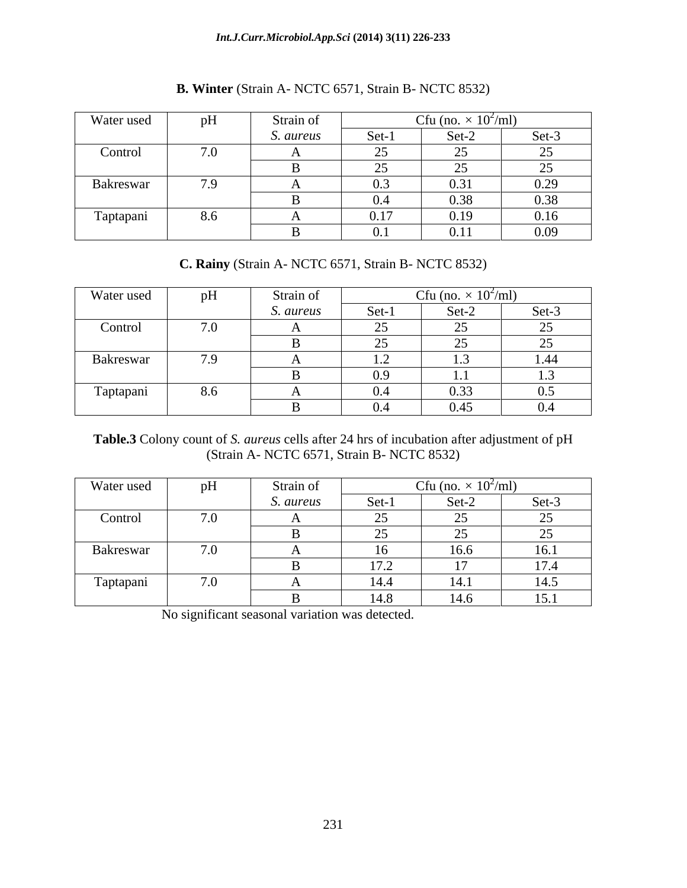| Water used | pH                    | Strain of |                                     | Cfu (no.<br>$\times$ 10 <sup>-7</sup> ml |                                                 |
|------------|-----------------------|-----------|-------------------------------------|------------------------------------------|-------------------------------------------------|
|            |                       | S. aureus | Set-1                               | Set-2                                    | Set-3                                           |
| Control    | 7 <sub>0</sub><br>1.0 |           | $\sim$ $\sim$<br>∼                  | $\sim$ $\sim$                            | $\cap$<br>ر_                                    |
|            |                       |           | $\overline{\phantom{a}}$            | $\sim$ $\sim$<br>$-$                     | $\Delta$ $\epsilon$<br>$\overline{\phantom{m}}$ |
| Bakreswar  | 7.9                   |           | $\Omega$<br>$\mathsf{U}.\mathsf{U}$ | 0.31                                     | 0.29                                            |
|            |                       |           | 0.4                                 | 0.38                                     | 0.38                                            |
| Taptapani  | 8.6                   |           | 0.17                                | 0.19                                     | 0.16                                            |
|            |                       |           |                                     | 0.11                                     | 0.09                                            |

# **B. Winter** (Strain A- NCTC 6571, Strain B- NCTC 8532)

# **C. Rainy** (Strain A- NCTC 6571, Strain B- NCTC 8532)

| Water used | pH  | Strain of |                                           | Cfu (no. $\times$ 10 <sup>2</sup> /ml) |                                      |
|------------|-----|-----------|-------------------------------------------|----------------------------------------|--------------------------------------|
|            |     | S. aureus | Set-1                                     | Set-2                                  | Set-3                                |
| Control    | 7.0 |           | $\sim$ $\sim$<br>ں سے                     | $\sim$ $\sim$<br>ب                     | $\gamma$<br>$\overline{\phantom{m}}$ |
|            |     |           | $\sim$ $\sim$<br>ں سے                     | $\sim$ $\sim$<br>ت                     | 25<br>$\overline{\phantom{m}}$       |
| Bakreswar  | 7.9 |           | $\sim$<br>$\overline{1}$ . $\overline{2}$ |                                        | 1.44                                 |
|            |     |           | $\Omega$<br>$\mathbf{U} \cdot \mathbf{V}$ | .                                      | 1.J                                  |
| Taptapani  | 8.6 |           | $\mathsf{v}.\mathsf{\tau}$                | 0.33                                   | 0.5                                  |
|            |     |           |                                           | 0.45                                   | $0.4\,$                              |

**Table.3** Colony count of *S. aureus* cells after 24 hrs of incubation after adjustment of pH (Strain A- NCTC 6571, Strain B- NCTC 8532)

| Water used | pH                           | Strain of |                         | Cfu (no. $\times$ 10 <sup>2</sup> /ml) |                                       |
|------------|------------------------------|-----------|-------------------------|----------------------------------------|---------------------------------------|
|            |                              | S. aureus | Set-1                   | Set-2                                  | Set-3                                 |
| Control    | $\sqrt{2}$ $\sqrt{2}$<br>1.0 |           | $\sim$ $\sim$<br>ں سے   | $\sim$ $\sim$                          | $\cap$ $\subset$<br>້                 |
|            |                              |           | $\sim$ $-$<br>ں گ       | $\sim$ $\sim$                          | $\sim$ $-$<br>رب                      |
| Bakreswar  | 7.0                          |           | 16                      | 16.6                                   | 161<br>10.1                           |
|            |                              |           | 17 <sub>2</sub><br>17.L |                                        | 17 <sub>4</sub><br>$\perp$ / . $\sim$ |
| Taptapani  | $\sqrt{2}$ $\sqrt{2}$<br>1.0 |           | 14.4                    | 1 4 1<br>14.1                          | 14.5                                  |
|            |                              |           | 14.8                    | 14.6                                   | 15.1                                  |

No significant seasonal variation was detected.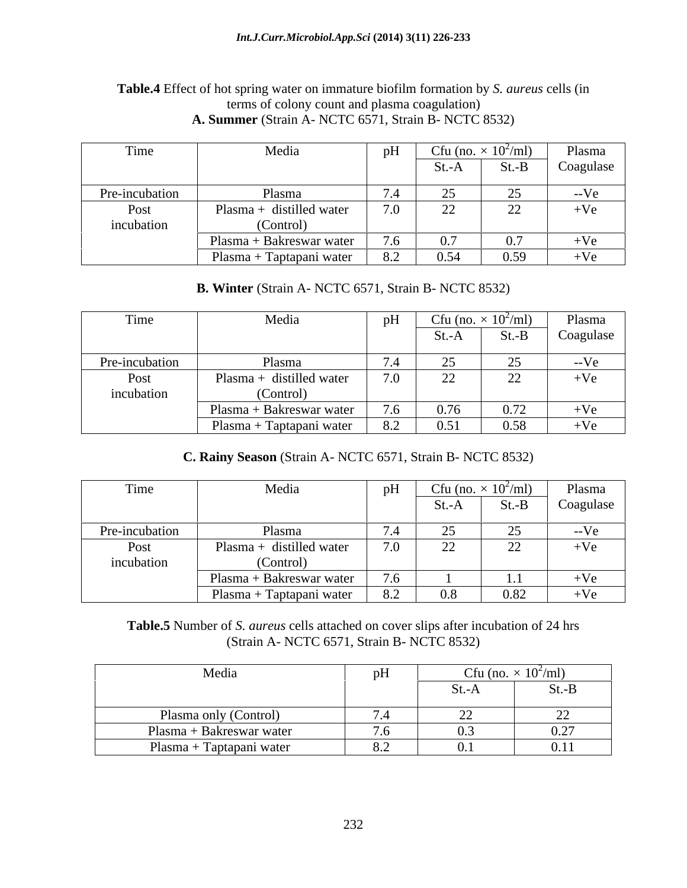### **Table.4** Effect of hot spring water on immature biofilm formation by *S. aureus* cells (in terms of colony count and plasma coagulation) **A. Summer** (Strain A- NCTC 6571, Strain B- NCTC 8532)

| Time           | Media                          |     |       |          | Cfu (no. $\times$ 10 <sup>2</sup> /ml) Plasma |
|----------------|--------------------------------|-----|-------|----------|-----------------------------------------------|
|                |                                |     | St.-A | $St.-B$  | Coagulase                                     |
| Pre-incubation | Plasma                         |     |       | $\gamma$ | --Ve                                          |
| Post           | Plasma + distilled water       | 7.0 | 22    | 22       | $+Ve$                                         |
| incubation     | (Control)                      |     |       |          |                                               |
|                | $\mu$ Plasma + Bakreswar water |     | 0.7   | 0.7      | $+Ve$                                         |
|                | Plasma + Taptapani water       | 8.2 | 0.54  | 0.59     | $+Ve$                                         |

# **B. Winter** (Strain A- NCTC 6571, Strain B- NCTC 8532)

| Time           | Media                      |     | Cfu (no. $\times$ 10 <sup>2</sup> /ml) |          | Plasma    |
|----------------|----------------------------|-----|----------------------------------------|----------|-----------|
|                |                            |     | St.-A                                  | $St.-B$  | Coagulase |
| Pre-incubation | Plasma                     |     |                                        | $\gamma$ | $-Ve$     |
| Post           | Plasma + distilled water   | 7.0 | 22                                     | 22       | $+Ve$     |
| incubation     | (Control)                  |     |                                        |          |           |
|                | $Plasma + Bakreswar water$ | 7.6 | 0.76                                   | 0.72     | $+Ve$     |
|                | Plasma + Taptapani water   | 8.2 | 0.51                                   | 0.58     | $+Ve$     |

# **C. Rainy Season** (Strain A- NCTC 6571, Strain B- NCTC 8532)

| Time           | Media                    |                        |         | Cfu (no. $\times$ 10 <sup>2</sup> /ml) | Plasma    |
|----------------|--------------------------|------------------------|---------|----------------------------------------|-----------|
|                |                          |                        | St.-A   | $St.-B$                                | Coagulase |
| Pre-incubation | Plasma                   |                        | ل کے    | $\gamma$                               | $-Ve$     |
| Post           | Plasma + distilled water | 7.0                    | 22      | 22                                     | $+Ve$     |
| incubation     | (Control)                |                        |         |                                        |           |
|                | Plasma + Bakreswar water | $\sqrt{2}$<br>$\cdots$ |         | 1.1                                    | $+Ve$     |
|                | Plasma + Taptapani water | 8.2                    | $0.8\,$ | 0.82                                   | $+Ve$     |

# **Table.5** Number of *S. aureus* cells attached on cover slips after incubation of 24 hrs (Strain A- NCTC 6571, Strain B- NCTC 8532)

| Media                                                                                       | pH                           |                          | Cfu (no. $\times$ 10 <sup>2</sup> /ml) |
|---------------------------------------------------------------------------------------------|------------------------------|--------------------------|----------------------------------------|
|                                                                                             |                              | $SL-A$                   | $St.-B$                                |
| Plasma only (Control)                                                                       | $\sqrt{ }$<br>7.4            | $\overline{\phantom{m}}$ | $\overline{\phantom{m}}$               |
| Plasma + Bakreswar water                                                                    | $\sqrt{2}$<br>$\overline{U}$ | $\sim$                   | 0.27                                   |
| Plasma + Taptapani water<br>$\overline{\phantom{a}}$<br>the contract of the contract of the | $\Omega$<br>O.Z              | v. 1                     | 0.11                                   |